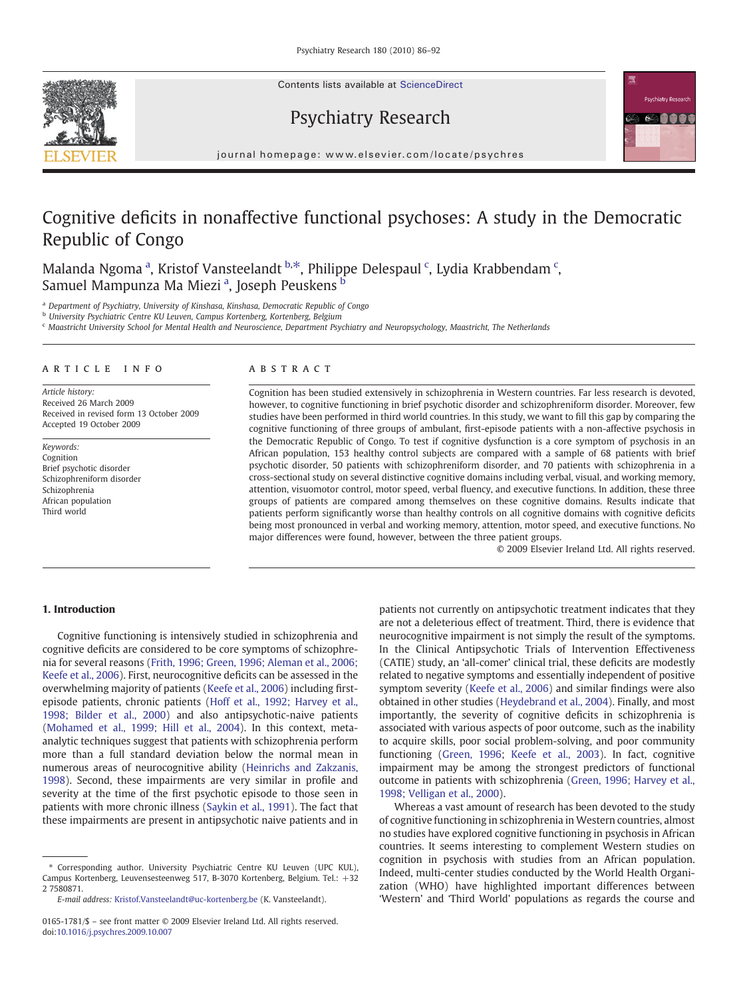Contents lists available at ScienceDirect







journal homepage: www.elsevier.com/locate/psychres

# Cognitive deficits in nonaffective functional psychoses: A study in the Democratic Republic of Congo

Malanda Ngoma <sup>a</sup>, Kristof Vansteelandt <sup>b,\*</sup>, Philippe Delespaul <sup>c</sup>, Lydia Krabbendam <sup>c</sup>, Samuel Mampunza Ma Miezi <sup>a</sup>, Joseph Peuskens <sup>b</sup>

a Department of Psychiatry, University of Kinshasa, Kinshasa, Democratic Republic of Congo

<sup>b</sup> University Psychiatric Centre KU Leuven, Campus Kortenberg, Kortenberg, Belgium

<sup>c</sup> Maastricht University School for Mental Health and Neuroscience, Department Psychiatry and Neuropsychology, Maastricht, The Netherlands

# article info abstract

Article history: Received 26 March 2009 Received in revised form 13 October 2009 Accepted 19 October 2009

Keywords: Cognition Brief psychotic disorder Schizophreniform disorder Schizophrenia African population Third world

Cognition has been studied extensively in schizophrenia in Western countries. Far less research is devoted, however, to cognitive functioning in brief psychotic disorder and schizophreniform disorder. Moreover, few studies have been performed in third world countries. In this study, we want to fill this gap by comparing the cognitive functioning of three groups of ambulant, first-episode patients with a non-affective psychosis in the Democratic Republic of Congo. To test if cognitive dysfunction is a core symptom of psychosis in an African population, 153 healthy control subjects are compared with a sample of 68 patients with brief psychotic disorder, 50 patients with schizophreniform disorder, and 70 patients with schizophrenia in a cross-sectional study on several distinctive cognitive domains including verbal, visual, and working memory, attention, visuomotor control, motor speed, verbal fluency, and executive functions. In addition, these three groups of patients are compared among themselves on these cognitive domains. Results indicate that patients perform significantly worse than healthy controls on all cognitive domains with cognitive deficits being most pronounced in verbal and working memory, attention, motor speed, and executive functions. No major differences were found, however, between the three patient groups.

© 2009 Elsevier Ireland Ltd. All rights reserved.

# 1. Introduction

Cognitive functioning is intensively studied in schizophrenia and cognitive deficits are considered to be core symptoms of schizophrenia for several reasons [\(Frith, 1996; Green, 1996; Aleman et al., 2006;](#page-5-0) [Keefe et al., 2006\)](#page-5-0). First, neurocognitive deficits can be assessed in the overwhelming majority of patients ([Keefe et al., 2006\)](#page-5-0) including firstepisode patients, chronic patients [\(Hoff et al., 1992; Harvey et al.,](#page-5-0) [1998; Bilder et al., 2000\)](#page-5-0) and also antipsychotic-naive patients [\(Mohamed et al., 1999; Hill et al., 2004\)](#page-5-0). In this context, metaanalytic techniques suggest that patients with schizophrenia perform more than a full standard deviation below the normal mean in numerous areas of neurocognitive ability ([Heinrichs and Zakzanis,](#page-5-0) [1998\)](#page-5-0). Second, these impairments are very similar in profile and severity at the time of the first psychotic episode to those seen in patients with more chronic illness ([Saykin et al., 1991](#page-5-0)). The fact that these impairments are present in antipsychotic naive patients and in

patients not currently on antipsychotic treatment indicates that they are not a deleterious effect of treatment. Third, there is evidence that neurocognitive impairment is not simply the result of the symptoms. In the Clinical Antipsychotic Trials of Intervention Effectiveness (CATIE) study, an 'all-comer' clinical trial, these deficits are modestly related to negative symptoms and essentially independent of positive symptom severity [\(Keefe et al., 2006](#page-5-0)) and similar findings were also obtained in other studies ([Heydebrand et al., 2004\)](#page-5-0). Finally, and most importantly, the severity of cognitive deficits in schizophrenia is associated with various aspects of poor outcome, such as the inability to acquire skills, poor social problem-solving, and poor community functioning ([Green, 1996;](#page-5-0) [Keefe et al., 2003\)](#page-5-0). In fact, cognitive impairment may be among the strongest predictors of functional outcome in patients with schizophrenia [\(Green, 1996; Harvey et al.,](#page-5-0) [1998; Velligan et al., 2000\)](#page-5-0).

Whereas a vast amount of research has been devoted to the study of cognitive functioning in schizophrenia in Western countries, almost no studies have explored cognitive functioning in psychosis in African countries. It seems interesting to complement Western studies on cognition in psychosis with studies from an African population. Indeed, multi-center studies conducted by the World Health Organization (WHO) have highlighted important differences between 'Western' and 'Third World' populations as regards the course and

<sup>⁎</sup> Corresponding author. University Psychiatric Centre KU Leuven (UPC KUL), Campus Kortenberg, Leuvensesteenweg 517, B-3070 Kortenberg, Belgium. Tel.: +32 2 7580871.

E-mail address: [Kristof.Vansteelandt@uc-kortenberg.be](mailto:Kristof.Vansteelandt@uc-kortenberg.be) (K. Vansteelandt).

<sup>0165-1781/\$</sup> – see front matter © 2009 Elsevier Ireland Ltd. All rights reserved. doi[:10.1016/j.psychres.2009.10.007](http://dx.doi.org/10.1016/j.psychres.2009.10.007)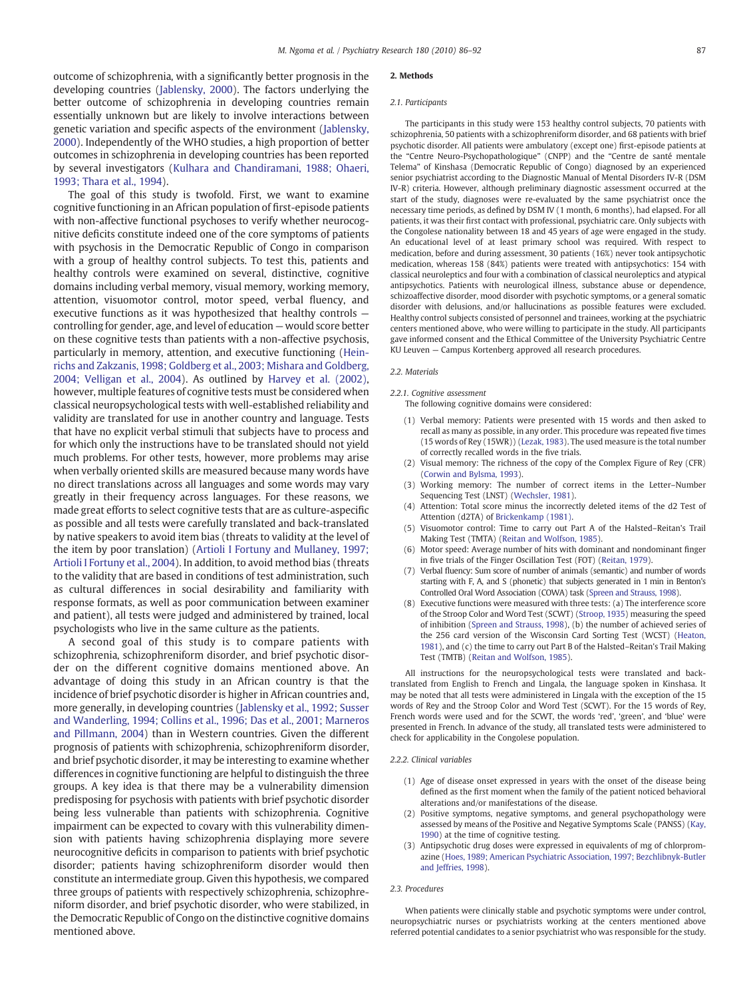outcome of schizophrenia, with a significantly better prognosis in the developing countries [\(Jablensky, 2000](#page-5-0)). The factors underlying the better outcome of schizophrenia in developing countries remain essentially unknown but are likely to involve interactions between genetic variation and specific aspects of the environment [\(Jablensky,](#page-5-0) [2000\)](#page-5-0). Independently of the WHO studies, a high proportion of better outcomes in schizophrenia in developing countries has been reported by several investigators ([Kulhara and Chandiramani, 1988; Ohaeri,](#page-5-0) [1993; Thara et al., 1994\)](#page-5-0).

The goal of this study is twofold. First, we want to examine cognitive functioning in an African population of first-episode patients with non-affective functional psychoses to verify whether neurocognitive deficits constitute indeed one of the core symptoms of patients with psychosis in the Democratic Republic of Congo in comparison with a group of healthy control subjects. To test this, patients and healthy controls were examined on several, distinctive, cognitive domains including verbal memory, visual memory, working memory, attention, visuomotor control, motor speed, verbal fluency, and executive functions as it was hypothesized that healthy controls controlling for gender, age, and level of education — would score better on these cognitive tests than patients with a non-affective psychosis, particularly in memory, attention, and executive functioning [\(Hein](#page-5-0)[richs and Zakzanis, 1998; Goldberg et al., 2003; Mishara and Goldberg,](#page-5-0) [2004; Velligan et al., 2004](#page-5-0)). As outlined by [Harvey et al. \(2002\),](#page-5-0) however, multiple features of cognitive tests must be considered when classical neuropsychological tests with well-established reliability and validity are translated for use in another country and language. Tests that have no explicit verbal stimuli that subjects have to process and for which only the instructions have to be translated should not yield much problems. For other tests, however, more problems may arise when verbally oriented skills are measured because many words have no direct translations across all languages and some words may vary greatly in their frequency across languages. For these reasons, we made great efforts to select cognitive tests that are as culture-aspecific as possible and all tests were carefully translated and back-translated by native speakers to avoid item bias (threats to validity at the level of the item by poor translation) [\(Artioli I Fortuny and Mullaney, 1997;](#page-5-0) [Artioli I Fortuny et al., 2004](#page-5-0)). In addition, to avoid method bias (threats to the validity that are based in conditions of test administration, such as cultural differences in social desirability and familiarity with response formats, as well as poor communication between examiner and patient), all tests were judged and administered by trained, local psychologists who live in the same culture as the patients.

A second goal of this study is to compare patients with schizophrenia, schizophreniform disorder, and brief psychotic disorder on the different cognitive domains mentioned above. An advantage of doing this study in an African country is that the incidence of brief psychotic disorder is higher in African countries and, more generally, in developing countries ([Jablensky et al., 1992; Susser](#page-5-0) [and Wanderling, 1994; Collins et al., 1996; Das et al., 2001; Marneros](#page-5-0) [and Pillmann, 2004\)](#page-5-0) than in Western countries. Given the different prognosis of patients with schizophrenia, schizophreniform disorder, and brief psychotic disorder, it may be interesting to examine whether differences in cognitive functioning are helpful to distinguish the three groups. A key idea is that there may be a vulnerability dimension predisposing for psychosis with patients with brief psychotic disorder being less vulnerable than patients with schizophrenia. Cognitive impairment can be expected to covary with this vulnerability dimension with patients having schizophrenia displaying more severe neurocognitive deficits in comparison to patients with brief psychotic disorder; patients having schizophreniform disorder would then constitute an intermediate group. Given this hypothesis, we compared three groups of patients with respectively schizophrenia, schizophreniform disorder, and brief psychotic disorder, who were stabilized, in the Democratic Republic of Congo on the distinctive cognitive domains mentioned above.

### 2. Methods

### 2.1. Participants

The participants in this study were 153 healthy control subjects, 70 patients with schizophrenia, 50 patients with a schizophreniform disorder, and 68 patients with brief psychotic disorder. All patients were ambulatory (except one) first-episode patients at the "Centre Neuro-Psychopathologique" (CNPP) and the "Centre de santé mentale Telema" of Kinshasa (Democratic Republic of Congo) diagnosed by an experienced senior psychiatrist according to the Diagnostic Manual of Mental Disorders IV-R (DSM IV-R) criteria. However, although preliminary diagnostic assessment occurred at the start of the study, diagnoses were re-evaluated by the same psychiatrist once the necessary time periods, as defined by DSM IV (1 month, 6 months), had elapsed. For all patients, it was their first contact with professional, psychiatric care. Only subjects with the Congolese nationality between 18 and 45 years of age were engaged in the study. An educational level of at least primary school was required. With respect to medication, before and during assessment, 30 patients (16%) never took antipsychotic medication, whereas 158 (84%) patients were treated with antipsychotics: 154 with classical neuroleptics and four with a combination of classical neuroleptics and atypical antipsychotics. Patients with neurological illness, substance abuse or dependence, schizoaffective disorder, mood disorder with psychotic symptoms, or a general somatic disorder with delusions, and/or hallucinations as possible features were excluded. Healthy control subjects consisted of personnel and trainees, working at the psychiatric centers mentioned above, who were willing to participate in the study. All participants gave informed consent and the Ethical Committee of the University Psychiatric Centre KU Leuven — Campus Kortenberg approved all research procedures.

# 2.2. Materials

2.2.1. Cognitive assessment

The following cognitive domains were considered:

- (1) Verbal memory: Patients were presented with 15 words and then asked to recall as many as possible, in any order. This procedure was repeated five times (15 words of Rey (15WR)) ([Lezak, 1983](#page-5-0)). The used measure is the total number of correctly recalled words in the five trials.
- (2) Visual memory: The richness of the copy of the Complex Figure of Rey (CFR) [\(Corwin and Bylsma, 1993](#page-5-0)).
- (3) Working memory: The number of correct items in the Letter–Number Sequencing Test (LNST) ([Wechsler, 1981](#page-6-0)).
- (4) Attention: Total score minus the incorrectly deleted items of the d2 Test of Attention (d2TA) of [Brickenkamp \(1981\).](#page-5-0)
- (5) Visuomotor control: Time to carry out Part A of the Halsted–Reitan's Trail Making Test (TMTA) ([Reitan and Wolfson, 1985](#page-5-0)).
- (6) Motor speed: Average number of hits with dominant and nondominant finger in five trials of the Finger Oscillation Test (FOT) ([Reitan, 1979](#page-5-0)).
- (7) Verbal fluency: Sum score of number of animals (semantic) and number of words starting with F, A, and S (phonetic) that subjects generated in 1 min in Benton's Controlled Oral Word Association (COWA) task ([Spreen and Strauss, 1998\)](#page-6-0).
- (8) Executive functions were measured with three tests: (a) The interference score of the Stroop Color and Word Test (SCWT) ([Stroop, 1935](#page-6-0)) measuring the speed of inhibition [\(Spreen and Strauss, 1998\)](#page-6-0), (b) the number of achieved series of the 256 card version of the Wisconsin Card Sorting Test (WCST) [\(Heaton,](#page-5-0) [1981](#page-5-0)), and (c) the time to carry out Part B of the Halsted–Reitan's Trail Making Test (TMTB) [\(Reitan and Wolfson, 1985](#page-5-0)).

All instructions for the neuropsychological tests were translated and backtranslated from English to French and Lingala, the language spoken in Kinshasa. It may be noted that all tests were administered in Lingala with the exception of the 15 words of Rey and the Stroop Color and Word Test (SCWT). For the 15 words of Rey, French words were used and for the SCWT, the words 'red', 'green', and 'blue' were presented in French. In advance of the study, all translated tests were administered to check for applicability in the Congolese population.

#### 2.2.2. Clinical variables

- (1) Age of disease onset expressed in years with the onset of the disease being defined as the first moment when the family of the patient noticed behavioral alterations and/or manifestations of the disease.
- (2) Positive symptoms, negative symptoms, and general psychopathology were assessed by means of the Positive and Negative Symptoms Scale (PANSS) [\(Kay,](#page-5-0) [1990](#page-5-0)) at the time of cognitive testing.
- (3) Antipsychotic drug doses were expressed in equivalents of mg of chlorpromazine [\(Hoes, 1989; American Psychiatric Association, 1997; Bezchlibnyk-Butler](#page-5-0) [and Jeffries, 1998](#page-5-0)).

# 2.3. Procedures

When patients were clinically stable and psychotic symptoms were under control, neuropsychiatric nurses or psychiatrists working at the centers mentioned above referred potential candidates to a senior psychiatrist who was responsible for the study.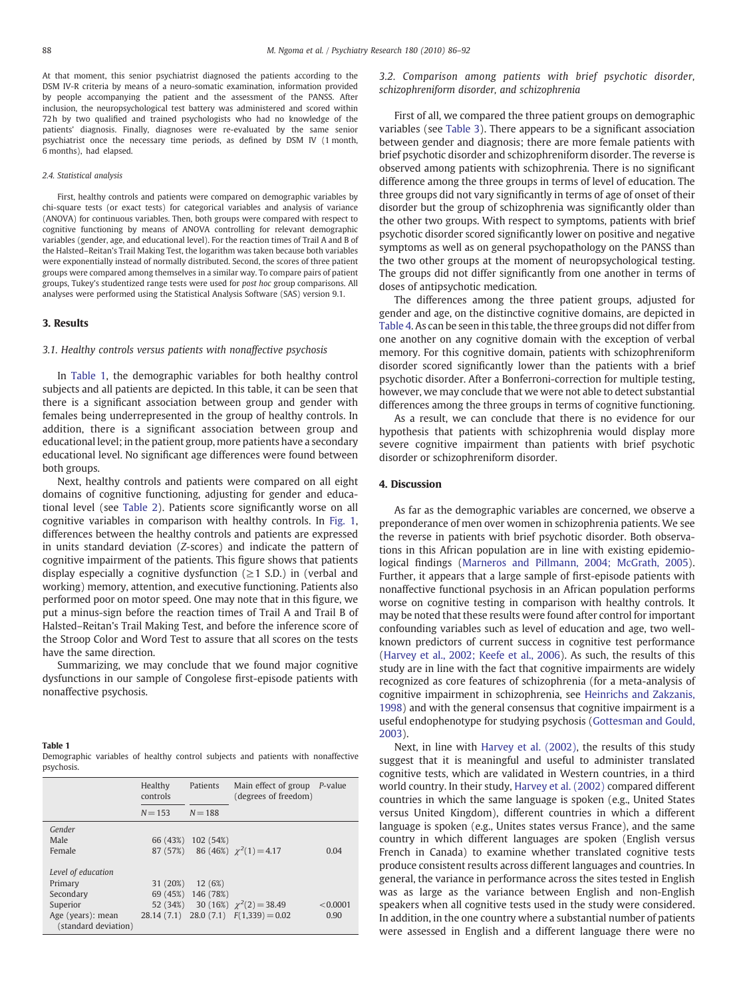At that moment, this senior psychiatrist diagnosed the patients according to the DSM IV-R criteria by means of a neuro-somatic examination, information provided by people accompanying the patient and the assessment of the PANSS. After inclusion, the neuropsychological test battery was administered and scored within 72h by two qualified and trained psychologists who had no knowledge of the patients' diagnosis. Finally, diagnoses were re-evaluated by the same senior psychiatrist once the necessary time periods, as defined by DSM IV (1 month, 6 months), had elapsed.

# 2.4. Statistical analysis

First, healthy controls and patients were compared on demographic variables by chi-square tests (or exact tests) for categorical variables and analysis of variance (ANOVA) for continuous variables. Then, both groups were compared with respect to cognitive functioning by means of ANOVA controlling for relevant demographic variables (gender, age, and educational level). For the reaction times of Trail A and B of the Halsted–Reitan's Trail Making Test, the logarithm was taken because both variables were exponentially instead of normally distributed. Second, the scores of three patient groups were compared among themselves in a similar way. To compare pairs of patient groups, Tukey's studentized range tests were used for post hoc group comparisons. All analyses were performed using the Statistical Analysis Software (SAS) version 9.1.

# 3. Results

# 3.1. Healthy controls versus patients with nonaffective psychosis

In Table 1, the demographic variables for both healthy control subjects and all patients are depicted. In this table, it can be seen that there is a significant association between group and gender with females being underrepresented in the group of healthy controls. In addition, there is a significant association between group and educational level; in the patient group, more patients have a secondary educational level. No significant age differences were found between both groups.

Next, healthy controls and patients were compared on all eight domains of cognitive functioning, adjusting for gender and educational level (see [Table 2\)](#page-3-0). Patients score significantly worse on all cognitive variables in comparison with healthy controls. In [Fig. 1,](#page-3-0) differences between the healthy controls and patients are expressed in units standard deviation (Z-scores) and indicate the pattern of cognitive impairment of the patients. This figure shows that patients display especially a cognitive dysfunction ( $\geq$ 1 S.D.) in (verbal and working) memory, attention, and executive functioning. Patients also performed poor on motor speed. One may note that in this figure, we put a minus-sign before the reaction times of Trail A and Trail B of Halsted–Reitan's Trail Making Test, and before the inference score of the Stroop Color and Word Test to assure that all scores on the tests have the same direction.

Summarizing, we may conclude that we found major cognitive dysfunctions in our sample of Congolese first-episode patients with nonaffective psychosis.

# Table 1

Demographic variables of healthy control subjects and patients with nonaffective psychosis.

|                                           | Healthy<br>controls | Patients           | Main effect of group<br>(degrees of freedom) | P-value  |  |
|-------------------------------------------|---------------------|--------------------|----------------------------------------------|----------|--|
|                                           | $N = 153$           | $N = 188$          |                                              |          |  |
| Gender                                    |                     |                    |                                              |          |  |
| Male                                      |                     | 66 (43%) 102 (54%) |                                              |          |  |
| Female                                    |                     |                    | 87 (57%) 86 (46%) $\chi^2(1) = 4.17$         | 0.04     |  |
| Level of education                        |                     |                    |                                              |          |  |
| Primary                                   | 31 (20%)            | 12(6%)             |                                              |          |  |
| Secondary                                 |                     | 69 (45%) 146 (78%) |                                              |          |  |
| Superior                                  |                     |                    | 52 (34%) 30 (16%) $\chi^2(2) = 38.49$        | < 0.0001 |  |
| Age (years): mean<br>(standard deviation) |                     |                    | $28.14(7.1)$ $28.0(7.1)$ $F(1,339) = 0.02$   | 0.90     |  |

3.2. Comparison among patients with brief psychotic disorder, schizophreniform disorder, and schizophrenia

First of all, we compared the three patient groups on demographic variables (see [Table 3\)](#page-4-0). There appears to be a significant association between gender and diagnosis; there are more female patients with brief psychotic disorder and schizophreniform disorder. The reverse is observed among patients with schizophrenia. There is no significant difference among the three groups in terms of level of education. The three groups did not vary significantly in terms of age of onset of their disorder but the group of schizophrenia was significantly older than the other two groups. With respect to symptoms, patients with brief psychotic disorder scored significantly lower on positive and negative symptoms as well as on general psychopathology on the PANSS than the two other groups at the moment of neuropsychological testing. The groups did not differ significantly from one another in terms of doses of antipsychotic medication.

The differences among the three patient groups, adjusted for gender and age, on the distinctive cognitive domains, are depicted in [Table 4](#page-4-0). As can be seen in this table, the three groups did not differ from one another on any cognitive domain with the exception of verbal memory. For this cognitive domain, patients with schizophreniform disorder scored significantly lower than the patients with a brief psychotic disorder. After a Bonferroni-correction for multiple testing, however, we may conclude that we were not able to detect substantial differences among the three groups in terms of cognitive functioning.

As a result, we can conclude that there is no evidence for our hypothesis that patients with schizophrenia would display more severe cognitive impairment than patients with brief psychotic disorder or schizophreniform disorder.

# 4. Discussion

As far as the demographic variables are concerned, we observe a preponderance of men over women in schizophrenia patients. We see the reverse in patients with brief psychotic disorder. Both observations in this African population are in line with existing epidemiological findings ([Marneros and Pillmann, 2004; McGrath, 2005](#page-5-0)). Further, it appears that a large sample of first-episode patients with nonaffective functional psychosis in an African population performs worse on cognitive testing in comparison with healthy controls. It may be noted that these results were found after control for important confounding variables such as level of education and age, two wellknown predictors of current success in cognitive test performance [\(Harvey et al., 2002; Keefe et al., 2006\)](#page-5-0). As such, the results of this study are in line with the fact that cognitive impairments are widely recognized as core features of schizophrenia (for a meta-analysis of cognitive impairment in schizophrenia, see [Heinrichs and Zakzanis,](#page-5-0) [1998\)](#page-5-0) and with the general consensus that cognitive impairment is a useful endophenotype for studying psychosis ([Gottesman and Gould,](#page-5-0) [2003\)](#page-5-0).

Next, in line with [Harvey et al. \(2002\),](#page-5-0) the results of this study suggest that it is meaningful and useful to administer translated cognitive tests, which are validated in Western countries, in a third world country. In their study, [Harvey et al. \(2002\)](#page-5-0) compared different countries in which the same language is spoken (e.g., United States versus United Kingdom), different countries in which a different language is spoken (e.g., Unites states versus France), and the same country in which different languages are spoken (English versus French in Canada) to examine whether translated cognitive tests produce consistent results across different languages and countries. In general, the variance in performance across the sites tested in English was as large as the variance between English and non-English speakers when all cognitive tests used in the study were considered. In addition, in the one country where a substantial number of patients were assessed in English and a different language there were no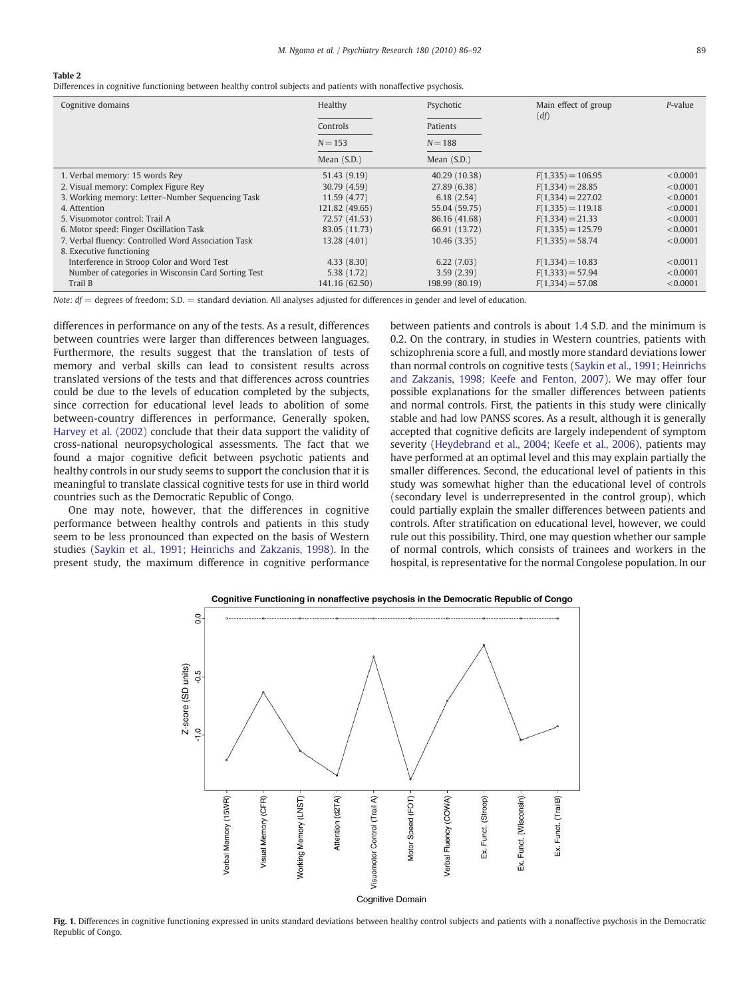# <span id="page-3-0"></span>Table 2

Differences in cognitive functioning between healthy control subjects and patients with nonaffective psychosis.

| Cognitive domains                                   | Healthy        | Psychotic      | Main effect of group<br>(df) | $P$ -value |
|-----------------------------------------------------|----------------|----------------|------------------------------|------------|
|                                                     | Controls       | Patients       |                              |            |
|                                                     | $N = 153$      | $N = 188$      |                              |            |
|                                                     | Mean $(S.D.)$  | Mean $(S.D.)$  |                              |            |
| 1. Verbal memory: 15 words Rey                      | 51.43 (9.19)   | 40.29 (10.38)  | $F(1,335) = 106.95$          | < 0.0001   |
| 2. Visual memory: Complex Figure Rey                | 30.79 (4.59)   | 27.89 (6.38)   | $F(1,334) = 28.85$           | < 0.0001   |
| 3. Working memory: Letter-Number Sequencing Task    | 11.59 (4.77)   | 6.18(2.54)     | $F(1,334) = 227.02$          | < 0.0001   |
| 4. Attention                                        | 121.82 (49.65) | 55.04 (59.75)  | $F(1,335) = 119.18$          | < 0.0001   |
| 5. Visuomotor control: Trail A                      | 72.57 (41.53)  | 86.16 (41.68)  | $F(1,334) = 21.33$           | < 0.0001   |
| 6. Motor speed: Finger Oscillation Task             | 83.05 (11.73)  | 66.91 (13.72)  | $F(1,335) = 125.79$          | < 0.0001   |
| 7. Verbal fluency: Controlled Word Association Task | 13.28 (4.01)   | 10.46(3.35)    | $F(1,335) = 58.74$           | < 0.0001   |
| 8. Executive functioning                            |                |                |                              |            |
| Interference in Stroop Color and Word Test          | 4.33(8.30)     | 6.22(7.03)     | $F(1,334) = 10.83$           | < 0.0011   |
| Number of categories in Wisconsin Card Sorting Test | 5.38 (1.72)    | 3.59(2.39)     | $F(1,333) = 57.94$           | < 0.0001   |
| Trail B                                             | 141.16 (62.50) | 198.99 (80.19) | $F(1,334) = 57.08$           | < 0.0001   |

Note:  $df =$  degrees of freedom: S.D.  $=$  standard deviation. All analyses adjusted for differences in gender and level of education.

differences in performance on any of the tests. As a result, differences between countries were larger than differences between languages. Furthermore, the results suggest that the translation of tests of memory and verbal skills can lead to consistent results across translated versions of the tests and that differences across countries could be due to the levels of education completed by the subjects, since correction for educational level leads to abolition of some between-country differences in performance. Generally spoken, [Harvey et al. \(2002\)](#page-5-0) conclude that their data support the validity of cross-national neuropsychological assessments. The fact that we found a major cognitive deficit between psychotic patients and healthy controls in our study seems to support the conclusion that it is meaningful to translate classical cognitive tests for use in third world countries such as the Democratic Republic of Congo.

One may note, however, that the differences in cognitive performance between healthy controls and patients in this study seem to be less pronounced than expected on the basis of Western studies [\(Saykin et al., 1991; Heinrichs and Zakzanis, 1998](#page-5-0)). In the present study, the maximum difference in cognitive performance between patients and controls is about 1.4 S.D. and the minimum is 0.2. On the contrary, in studies in Western countries, patients with schizophrenia score a full, and mostly more standard deviations lower than normal controls on cognitive tests [\(Saykin et al., 1991; Heinrichs](#page-5-0) [and Zakzanis, 1998; Keefe and Fenton, 2007\)](#page-5-0). We may offer four possible explanations for the smaller differences between patients and normal controls. First, the patients in this study were clinically stable and had low PANSS scores. As a result, although it is generally accepted that cognitive deficits are largely independent of symptom severity ([Heydebrand et al., 2004; Keefe et al., 2006](#page-5-0)), patients may have performed at an optimal level and this may explain partially the smaller differences. Second, the educational level of patients in this study was somewhat higher than the educational level of controls (secondary level is underrepresented in the control group), which could partially explain the smaller differences between patients and controls. After stratification on educational level, however, we could rule out this possibility. Third, one may question whether our sample of normal controls, which consists of trainees and workers in the hospital, is representative for the normal Congolese population. In our



Fig. 1. Differences in cognitive functioning expressed in units standard deviations between healthy control subjects and patients with a nonaffective psychosis in the Democratic Republic of Congo.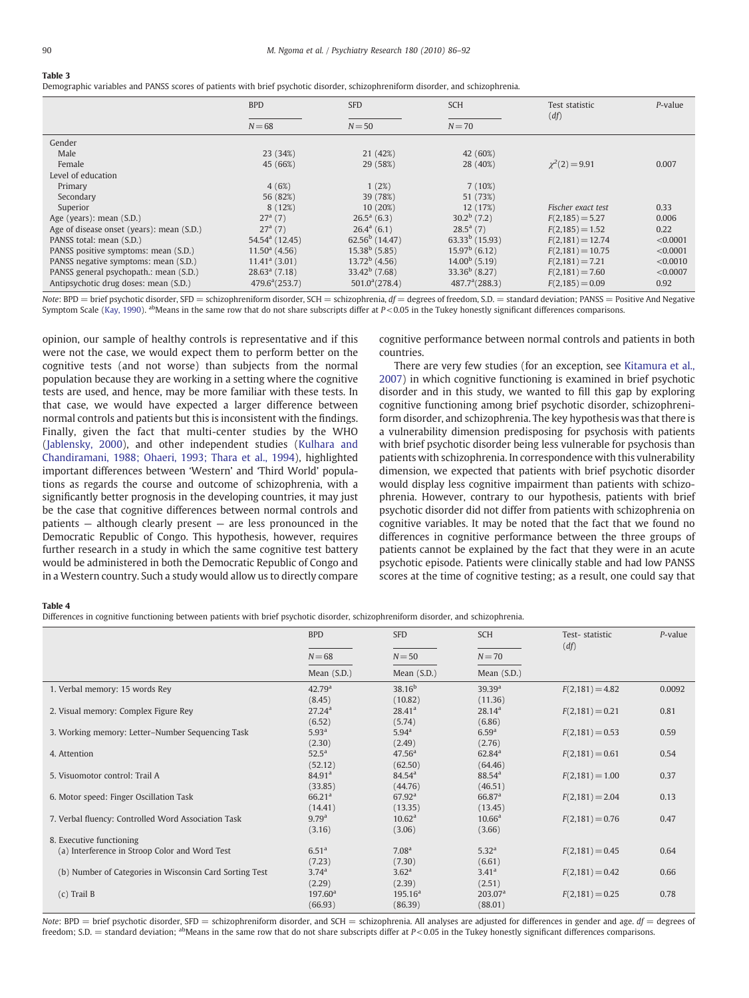# <span id="page-4-0"></span>Table 3

Demographic variables and PANSS scores of patients with brief psychotic disorder, schizophreniform disorder, and schizophrenia.

|                                           | <b>BPD</b>                | <b>SFD</b>       | <b>SCH</b>                 | Test statistic<br>(df) | $P$ -value |
|-------------------------------------------|---------------------------|------------------|----------------------------|------------------------|------------|
|                                           | $N = 68$                  | $N = 50$         | $N = 70$                   |                        |            |
| Gender                                    |                           |                  |                            |                        |            |
| Male                                      | 23(34%)                   | 21 (42%)         | 42 (60%)                   |                        |            |
| Female                                    | 45 (66%)                  | 29 (58%)         | 28 (40%)                   | $\chi^2(2) = 9.91$     | 0.007      |
| Level of education                        |                           |                  |                            |                        |            |
| Primary                                   | 4(6%)                     | 1(2%)            | $7(10\%)$                  |                        |            |
| Secondary                                 | 56 (82%)                  | 39 (78%)         | 51 (73%)                   |                        |            |
| Superior                                  | 8(12%)                    | 10(20%)          | 12 (17%)                   | Fischer exact test     | 0.33       |
| Age (years): mean (S.D.)                  | $27a$ (7)                 | $26.5^a$ (6.3)   | $30.2^b$ (7.2)             | $F(2,185) = 5.27$      | 0.006      |
| Age of disease onset (years): mean (S.D.) | $27a$ (7)                 | $26.4^a$ (6.1)   | $28.5^{\rm a}$ (7)         | $F(2,185) = 1.52$      | 0.22       |
| PANSS total: mean (S.D.)                  | $54.54a$ (12.45)          | $62.56b$ (14.47) | $63.33b$ (15.93)           | $F(2,181) = 12.74$     | < 0.0001   |
| PANSS positive symptoms: mean (S.D.)      | $11.50a$ (4.56)           | $15.38b$ (5.85)  | $15.97b$ (6.12)            | $F(2,181) = 10.75$     | < 0.0001   |
| PANSS negative symptoms: mean (S.D.)      | $11.41a$ (3.01)           | $13.72b$ (4.56)  | $14.00b$ (5.19)            | $F(2,181) = 7.21$      | < 0.0010   |
| PANSS general psychopath.: mean (S.D.)    | $28.63a$ (7.18)           | $33.42^b$ (7.68) | $33.36b$ (8.27)            | $F(2,181) = 7.60$      | < 0.0007   |
| Antipsychotic drug doses: mean (S.D.)     | $479.6^{\text{a}}(253.7)$ | $501.0^a(278.4)$ | 487.7 <sup>a</sup> (288.3) | $F(2,185) = 0.09$      | 0.92       |

Note: BPD = brief psychotic disorder, SFD = schizophreniform disorder, SCH = schizophrenia,  $df =$  degrees of freedom, S.D. = standard deviation; PANSS = Positive And Negative Symptom Scale [\(Kay, 1990](#page-5-0)). <sup>ab</sup>Means in the same row that do not share subscripts differ at  $P < 0.05$  in the Tukey honestly significant differences comparisons.

opinion, our sample of healthy controls is representative and if this were not the case, we would expect them to perform better on the cognitive tests (and not worse) than subjects from the normal population because they are working in a setting where the cognitive tests are used, and hence, may be more familiar with these tests. In that case, we would have expected a larger difference between normal controls and patients but this is inconsistent with the findings. Finally, given the fact that multi-center studies by the WHO [\(Jablensky, 2000](#page-5-0)), and other independent studies [\(Kulhara and](#page-5-0) [Chandiramani, 1988; Ohaeri, 1993; Thara et al., 1994](#page-5-0)), highlighted important differences between 'Western' and 'Third World' populations as regards the course and outcome of schizophrenia, with a significantly better prognosis in the developing countries, it may just be the case that cognitive differences between normal controls and patients — although clearly present — are less pronounced in the Democratic Republic of Congo. This hypothesis, however, requires further research in a study in which the same cognitive test battery would be administered in both the Democratic Republic of Congo and in a Western country. Such a study would allow us to directly compare cognitive performance between normal controls and patients in both countries.

There are very few studies (for an exception, see [Kitamura et al.,](#page-5-0) [2007\)](#page-5-0) in which cognitive functioning is examined in brief psychotic disorder and in this study, we wanted to fill this gap by exploring cognitive functioning among brief psychotic disorder, schizophreniform disorder, and schizophrenia. The key hypothesis was that there is a vulnerability dimension predisposing for psychosis with patients with brief psychotic disorder being less vulnerable for psychosis than patients with schizophrenia. In correspondence with this vulnerability dimension, we expected that patients with brief psychotic disorder would display less cognitive impairment than patients with schizophrenia. However, contrary to our hypothesis, patients with brief psychotic disorder did not differ from patients with schizophrenia on cognitive variables. It may be noted that the fact that we found no differences in cognitive performance between the three groups of patients cannot be explained by the fact that they were in an acute psychotic episode. Patients were clinically stable and had low PANSS scores at the time of cognitive testing; as a result, one could say that

### Table 4

Differences in cognitive functioning between patients with brief psychotic disorder, schizophreniform disorder, and schizophrenia.

|                                                         | <b>BPD</b>          | <b>SFD</b>          | SCH                 | Test-statistic<br>(df) | $P$ -value |
|---------------------------------------------------------|---------------------|---------------------|---------------------|------------------------|------------|
|                                                         | $N = 68$            | $N = 50$            | $N = 70$            |                        |            |
|                                                         | Mean $(S.D.)$       | Mean $(S.D.)$       | Mean $(S.D.)$       |                        |            |
| 1. Verbal memory: 15 words Rey                          | 42.79 <sup>a</sup>  | 38.16 <sup>b</sup>  | 39.39 <sup>a</sup>  | $F(2,181) = 4.82$      | 0.0092     |
|                                                         | (8.45)              | (10.82)             | (11.36)             |                        |            |
| 2. Visual memory: Complex Figure Rey                    | 27.24 <sup>a</sup>  | 28.41 <sup>a</sup>  | 28.14 <sup>a</sup>  | $F(2,181) = 0.21$      | 0.81       |
|                                                         | (6.52)              | (5.74)              | (6.86)              |                        |            |
| 3. Working memory: Letter-Number Sequencing Task        | 5.93 <sup>a</sup>   | 5.94 <sup>a</sup>   | 6.59 <sup>a</sup>   | $F(2,181) = 0.53$      | 0.59       |
|                                                         | (2.30)              | (2.49)              | (2.76)              |                        |            |
| 4. Attention                                            | $52.5^{\circ}$      | 47.56 <sup>a</sup>  | 62.84 <sup>a</sup>  | $F(2,181) = 0.61$      | 0.54       |
|                                                         | (52.12)             | (62.50)             | (64.46)             |                        |            |
| 5. Visuomotor control: Trail A                          | 84.91 <sup>a</sup>  | $84.54^{\rm a}$     | 88.54 <sup>a</sup>  | $F(2,181) = 1.00$      | 0.37       |
|                                                         | (33.85)             | (44.76)             | (46.51)             |                        |            |
| 6. Motor speed: Finger Oscillation Task                 | 66.21 <sup>a</sup>  | 67.92 <sup>a</sup>  | 66.87 <sup>a</sup>  | $F(2,181) = 2.04$      | 0.13       |
|                                                         | (14.41)             | (13.35)             | (13.45)             |                        |            |
| 7. Verbal fluency: Controlled Word Association Task     | 9.79 <sup>a</sup>   | 10.62 <sup>a</sup>  | 10.66 <sup>a</sup>  | $F(2,181) = 0.76$      | 0.47       |
|                                                         | (3.16)              | (3.06)              | (3.66)              |                        |            |
| 8. Executive functioning                                |                     |                     |                     |                        |            |
| (a) Interference in Stroop Color and Word Test          | 6.51 <sup>a</sup>   | 7.08 <sup>a</sup>   | 5.32 <sup>a</sup>   | $F(2,181) = 0.45$      | 0.64       |
|                                                         | (7.23)              | (7.30)              | (6.61)              |                        |            |
| (b) Number of Categories in Wisconsin Card Sorting Test | 3.74 <sup>a</sup>   | 3.62 <sup>a</sup>   | 3.41 <sup>a</sup>   | $F(2,181) = 0.42$      | 0.66       |
|                                                         | (2.29)              | (2.39)              | (2.51)              |                        |            |
| $(c)$ Trail B                                           | $197.60^{\text{a}}$ | 195.16 <sup>a</sup> | 203.07 <sup>a</sup> | $F(2,181) = 0.25$      | 0.78       |
|                                                         | (66.93)             | (86.39)             | (88.01)             |                        |            |

Note: BPD = brief psychotic disorder, SFD = schizophreniform disorder, and SCH = schizophrenia. All analyses are adjusted for differences in gender and age. df = degrees of freedom; S.D. = standard deviation; <sup>ab</sup>Means in the same row that do not share subscripts differ at  $P < 0.05$  in the Tukey honestly significant differences comparisons.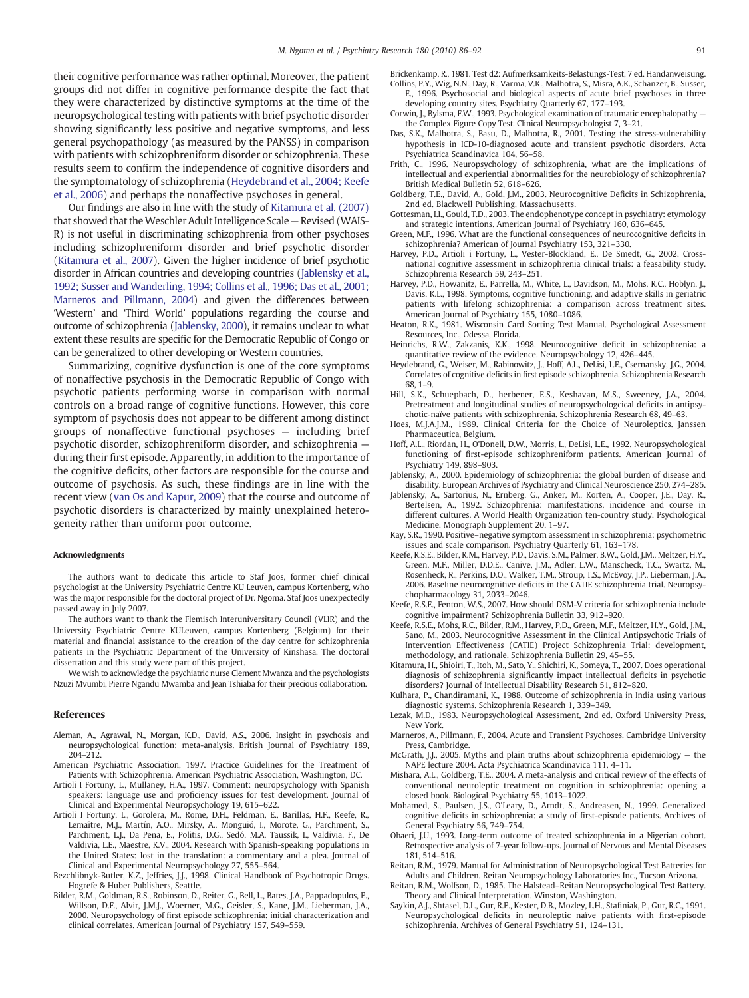<span id="page-5-0"></span>their cognitive performance was rather optimal. Moreover, the patient groups did not differ in cognitive performance despite the fact that they were characterized by distinctive symptoms at the time of the neuropsychological testing with patients with brief psychotic disorder showing significantly less positive and negative symptoms, and less general psychopathology (as measured by the PANSS) in comparison with patients with schizophreniform disorder or schizophrenia. These results seem to confirm the independence of cognitive disorders and the symptomatology of schizophrenia (Heydebrand et al., 2004; Keefe et al., 2006) and perhaps the nonaffective psychoses in general.

Our findings are also in line with the study of Kitamura et al. (2007) that showed that the Weschler Adult Intelligence Scale – Revised (WAIS-R) is not useful in discriminating schizophrenia from other psychoses including schizophreniform disorder and brief psychotic disorder (Kitamura et al., 2007). Given the higher incidence of brief psychotic disorder in African countries and developing countries (Jablensky et al., 1992; Susser and Wanderling, 1994; Collins et al., 1996; Das et al., 2001; Marneros and Pillmann, 2004) and given the differences between 'Western' and 'Third World' populations regarding the course and outcome of schizophrenia (Jablensky, 2000), it remains unclear to what extent these results are specific for the Democratic Republic of Congo or can be generalized to other developing or Western countries.

Summarizing, cognitive dysfunction is one of the core symptoms of nonaffective psychosis in the Democratic Republic of Congo with psychotic patients performing worse in comparison with normal controls on a broad range of cognitive functions. However, this core symptom of psychosis does not appear to be different among distinct groups of nonaffective functional psychoses — including brief psychotic disorder, schizophreniform disorder, and schizophrenia during their first episode. Apparently, in addition to the importance of the cognitive deficits, other factors are responsible for the course and outcome of psychosis. As such, these findings are in line with the recent view [\(van Os and Kapur, 2009\)](#page-6-0) that the course and outcome of psychotic disorders is characterized by mainly unexplained heterogeneity rather than uniform poor outcome.

## Acknowledgments

The authors want to dedicate this article to Staf Joos, former chief clinical psychologist at the University Psychiatric Centre KU Leuven, campus Kortenberg, who was the major responsible for the doctoral project of Dr. Ngoma. Staf Joos unexpectedly passed away in July 2007.

The authors want to thank the Flemisch Interuniversitary Council (VLIR) and the University Psychiatric Centre KULeuven, campus Kortenberg (Belgium) for their material and financial assistance to the creation of the day centre for schizophrenia patients in the Psychiatric Department of the University of Kinshasa. The doctoral dissertation and this study were part of this project.

We wish to acknowledge the psychiatric nurse Clement Mwanza and the psychologists Nzuzi Mvumbi, Pierre Ngandu Mwamba and Jean Tshiaba for their precious collaboration.

#### References

- Aleman, A., Agrawal, N., Morgan, K.D., David, A.S., 2006. Insight in psychosis and neuropsychological function: meta-analysis. British Journal of Psychiatry 189, 204–212.
- American Psychiatric Association, 1997. Practice Guidelines for the Treatment of Patients with Schizophrenia. American Psychiatric Association, Washington, DC.
- Artioli I Fortuny, L., Mullaney, H.A., 1997. Comment: neuropsychology with Spanish speakers: language use and proficiency issues for test development. Journal of Clinical and Experimental Neuropsychology 19, 615–622.
- Artioli I Fortuny, L., Gorolera, M., Rome, D.H., Feldman, E., Barillas, H.F., Keefe, R., Lemaître, M.J., Martín, A.O., Mirsky, A., Monguió, I., Morote, G., Parchment, S., Parchment, L.J., Da Pena, E., Politis, D.G., Sedó, M.A, Taussik, I., Valdivia, F., De Valdivia, L.E., Maestre, K.V., 2004. Research with Spanish-speaking populations in the United States: lost in the translation: a commentary and a plea. Journal of Clinical and Experimental Neuropsychology 27, 555–564.
- Bezchlibnyk-Butler, K.Z., Jeffries, J.J., 1998. Clinical Handbook of Psychotropic Drugs. Hogrefe & Huber Publishers, Seattle.
- Bilder, R.M., Goldman, R.S., Robinson, D., Reiter, G., Bell, L., Bates, J.A., Pappadopulos, E., Willson, D.F., Alvir, J.M.J., Woerner, M.G., Geisler, S., Kane, J.M., Lieberman, J.A., 2000. Neuropsychology of first episode schizophrenia: initial characterization and clinical correlates. American Journal of Psychiatry 157, 549–559.
- Brickenkamp, R., 1981. Test d2: Aufmerksamkeits-Belastungs-Test, 7 ed. Handanweisung. Collins, P.Y., Wig, N.N., Day, R., Varma, V.K., Malhotra, S., Misra, A.K., Schanzer, B., Susser, E., 1996. Psychosocial and biological aspects of acute brief psychoses in three
- developing country sites. Psychiatry Quarterly 67, 177–193. Corwin, J., Bylsma, F.W., 1993. Psychological examination of traumatic encephalopathy the Complex Figure Copy Test. Clinical Neuropsychologist 7, 3–21.
- Das, S.K., Malhotra, S., Basu, D., Malhotra, R., 2001. Testing the stress-vulnerability hypothesis in ICD-10-diagnosed acute and transient psychotic disorders. Acta Psychiatrica Scandinavica 104, 56–58.
- Frith, C., 1996. Neuropsychology of schizophrenia, what are the implications of intellectual and experiential abnormalities for the neurobiology of schizophrenia? British Medical Bulletin 52, 618–626.
- Goldberg, T.E., David, A., Gold, J.M., 2003. Neurocognitive Deficits in Schizophrenia, 2nd ed. Blackwell Publishing, Massachusetts.
- Gottesman, I.I., Gould, T.D., 2003. The endophenotype concept in psychiatry: etymology and strategic intentions. American Journal of Psychiatry 160, 636–645.
- Green, M.F., 1996. What are the functional consequences of neurocognitive deficits in schizophrenia? American of Journal Psychiatry 153, 321–330.
- Harvey, P.D., Artioli i Fortuny, L., Vester-Blockland, E., De Smedt, G., 2002. Crossnational cognitive assessment in schizophrenia clinical trials: a feasability study. Schizophrenia Research 59, 243–251.
- Harvey, P.D., Howanitz, E., Parrella, M., White, L., Davidson, M., Mohs, R.C., Hoblyn, J., Davis, K.L., 1998. Symptoms, cognitive functioning, and adaptive skills in geriatric patients with lifelong schizophrenia: a comparison across treatment sites. American Journal of Psychiatry 155, 1080–1086.
- Heaton, R.K., 1981. Wisconsin Card Sorting Test Manual. Psychological Assessment Resources, Inc., Odessa, Florida.
- Heinrichs, R.W., Zakzanis, K.K., 1998. Neurocognitive deficit in schizophrenia: a quantitative review of the evidence. Neuropsychology 12, 426–445.
- Heydebrand, G., Weiser, M., Rabinowitz, J., Hoff, A.L., DeLisi, L.E., Csernansky, J.G., 2004. Correlates of cognitive deficits in first episode schizophrenia. Schizophrenia Research 68, 1–9.
- Hill, S.K., Schuepbach, D., herbener, E.S., Keshavan, M.S., Sweeney, J.A., 2004. Pretreatment and longitudinal studies of neuropsychologcical deficits in antipsychotic-naïve patients with schizophrenia. Schizophrenia Research 68, 49–63.
- Hoes, M.J.A.J.M., 1989. Clinical Criteria for the Choice of Neuroleptics. Janssen Pharmaceutica, Belgium.
- Hoff, A.L., Riordan, H., O'Donell, D.W., Morris, L., DeLisi, L.E., 1992. Neuropsychological functioning of first-episode schizophreniform patients. American Journal of Psychiatry 149, 898–903.
- Jablensky, A., 2000. Epidemiology of schizophrenia: the global burden of disease and disability. European Archives of Psychiatry and Clinical Neuroscience 250, 274–285.
- Jablensky, A., Sartorius, N., Ernberg, G., Anker, M., Korten, A., Cooper, J.E., Day, R., Bertelsen, A., 1992. Schizophrenia: manifestations, incidence and course in different cultures. A World Health Organization ten-country study. Psychological Medicine. Monograph Supplement 20, 1–97.
- Kay, S.R., 1990. Positive–negative symptom assessment in schizophrenia: psychometric issues and scale comparison. Psychiatry Quarterly 61, 163–178.
- Keefe, R.S.E., Bilder, R.M., Harvey, P.D., Davis, S.M., Palmer, B.W., Gold, J.M., Meltzer, H.Y., Green, M.F., Miller, D.D.E., Canive, J.M., Adler, L.W., Manscheck, T.C., Swartz, M., Rosenheck, R., Perkins, D.O., Walker, T.M., Stroup, T.S., McEvoy, J.P., Lieberman, J.A., 2006. Baseline neurocognitive deficits in the CATIE schizophrenia trial. Neuropsychopharmacology 31, 2033–2046.
- Keefe, R.S.E., Fenton, W.S., 2007. How should DSM-V criteria for schizophrenia include cognitive impairment? Schizophrenia Bulletin 33, 912–920.
- Keefe, R.S.E., Mohs, R.C., Bilder, R.M., Harvey, P.D., Green, M.F., Meltzer, H.Y., Gold, J.M., Sano, M., 2003. Neurocognitive Assessment in the Clinical Antipsychotic Trials of Intervention Effectiveness (CATIE) Project Schizophrenia Trial: development, methodology, and rationale. Schizophrenia Bulletin 29, 45–55.
- Kitamura, H., Shioiri, T., Itoh, M., Sato, Y., Shichiri, K., Someya, T., 2007. Does operational diagnosis of schizophrenia significantly impact intellectual deficits in psychotic disorders? Journal of Intellectual Disability Research 51, 812–820.
- Kulhara, P., Chandiramani, K., 1988. Outcome of schizophrenia in India using various diagnostic systems. Schizophrenia Research 1, 339–349.
- Lezak, M.D., 1983. Neuropsychological Assessment, 2nd ed. Oxford University Press, New York.
- Marneros, A., Pillmann, F., 2004. Acute and Transient Psychoses. Cambridge University Press, Cambridge.
- McGrath, J.J., 2005. Myths and plain truths about schizophrenia epidemiology the NAPE lecture 2004. Acta Psychiatrica Scandinavica 111, 4–11.
- Mishara, A.L., Goldberg, T.E., 2004. A meta-analysis and critical review of the effects of conventional neuroleptic treatment on cognition in schizophrenia: opening a closed book. Biological Psychiatry 55, 1013–1022.
- Mohamed, S., Paulsen, J.S., O'Leary, D., Arndt, S., Andreasen, N., 1999. Generalized cognitive deficits in schizophrenia: a study of first-episode patients. Archives of General Psychiatry 56, 749–754.
- Ohaeri, J.U., 1993. Long-term outcome of treated schizophrenia in a Nigerian cohort. Retrospective analysis of 7-year follow-ups. Journal of Nervous and Mental Diseases 181, 514–516.
- Reitan, R.M., 1979. Manual for Administration of Neuropsychological Test Batteries for Adults and Children. Reitan Neuropsychology Laboratories Inc., Tucson Arizona.
- Reitan, R.M., Wolfson, D., 1985. The Halstead–Reitan Neuropsychological Test Battery. Theory and Clinical Interpretation. Winston, Washington.
- Saykin, A.J., Shtasel, D.L., Gur, R.E., Kester, D.B., Mozley, L.H., Stafiniak, P., Gur, R.C., 1991. Neuropsychological deficits in neuroleptic naïve patients with first-episode schizophrenia. Archives of General Psychiatry 51, 124–131.